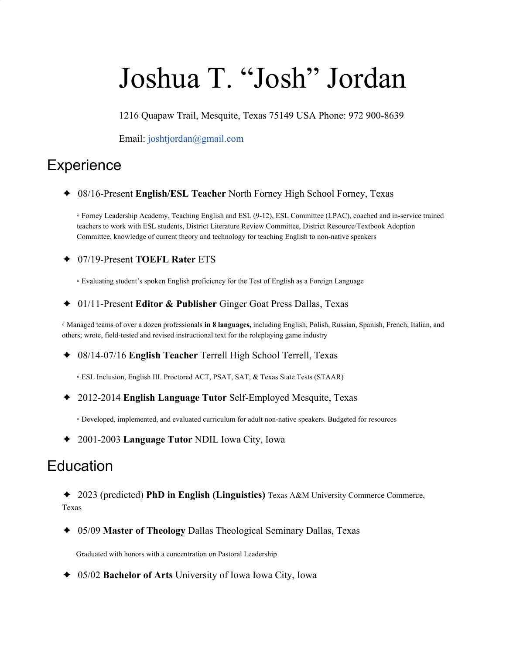# Joshua T. "Josh" Jordan

1216 Quapaw Trail, Mesquite, Texas 75149 USA Phone: 972 900-8639

Email: joshtjordan@gmail.com

## **Experience**

✦ 08/16-Present **English/ESL Teacher** North Forney High School Forney, Texas

◦ Forney Leadership Academy, Teaching English and ESL (9-12), ESL Committee (LPAC), coached and in-service trained teachers to work with ESL students, District Literature Review Committee, District Resource/Textbook Adoption Committee, knowledge of current theory and technology for teaching English to non-native speakers

✦ 07/19-Present **TOEFL Rater** ETS

◦ Evaluating student's spoken English proficiency for the Test of English as a Foreign Language

✦ 01/11-Present **Editor & Publisher** Ginger Goat Press Dallas, Texas

◦ Managed teams of over a dozen professionals **in 8 languages,** including English, Polish, Russian, Spanish, French, Italian, and others; wrote, field-tested and revised instructional text for the roleplaying game industry

- ✦ 08/14-07/16 **English Teacher** Terrell High School Terrell, Texas
	- ESL Inclusion, English III. Proctored ACT, PSAT, SAT, & Texas State Tests (STAAR)
- ✦ 2012-2014 **English Language Tutor** Self-Employed Mesquite, Texas
	- Developed, implemented, and evaluated curriculum for adult non-native speakers. Budgeted for resources
- ✦ 2001-2003 **Language Tutor** NDIL Iowa City, Iowa

### **Education**

- ✦ 2023 (predicted) **PhD in English (Linguistics)** Texas A&M University Commerce Commerce, Texas
- ✦ 05/09 **Master of Theology** Dallas Theological Seminary Dallas, Texas

Graduated with honors with a concentration on Pastoral Leadership

✦ 05/02 **Bachelor of Arts** University of Iowa Iowa City, Iowa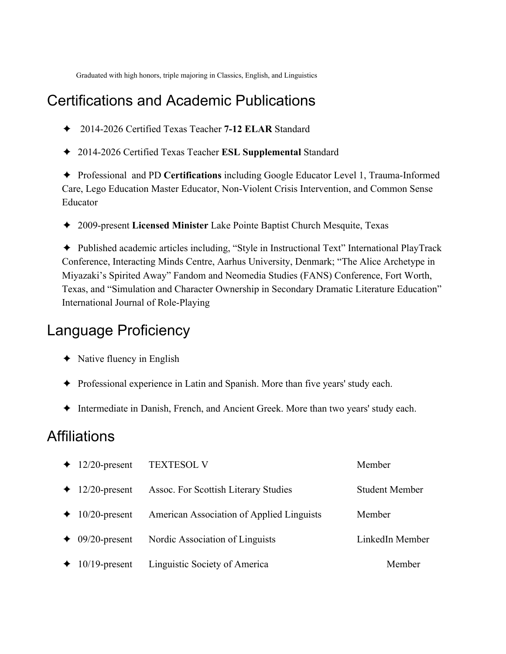Graduated with high honors, triple majoring in Classics, English, and Linguistics

### Certifications and Academic Publications

- ✦ 2014-2026 Certified Texas Teacher **7-12 ELAR** Standard
- ✦ 2014-2026 Certified Texas Teacher **ESL Supplemental** Standard

✦ Professional and PD **Certifications** including Google Educator Level 1, Trauma-Informed Care, Lego Education Master Educator, Non-Violent Crisis Intervention, and Common Sense Educator

✦ 2009-present **Licensed Minister** Lake Pointe Baptist Church Mesquite, Texas

✦ Published academic articles including, "Style in Instructional Text" International PlayTrack Conference, Interacting Minds Centre, Aarhus University, Denmark; "The Alice Archetype in Miyazaki's Spirited Away" Fandom and Neomedia Studies (FANS) Conference, Fort Worth, Texas, and "Simulation and Character Ownership in Secondary Dramatic Literature Education" International Journal of Role-Playing

#### Language Proficiency

- $\triangleleft$  Native fluency in English
- ✦ Professional experience in Latin and Spanish. More than five years' study each.
- ✦ Intermediate in Danish, French, and Ancient Greek. More than two years' study each.

#### **Affiliations**

| $\div$ 12/20-present          | <b>TEXTESOL V</b>                         | Member                |
|-------------------------------|-------------------------------------------|-----------------------|
| $\div$ 12/20-present          | Assoc. For Scottish Literary Studies      | <b>Student Member</b> |
| $\div$ 10/20-present          | American Association of Applied Linguists | Member                |
| $\triangleleft$ 09/20-present | Nordic Association of Linguists           | LinkedIn Member       |
| $\div$ 10/19-present          | Linguistic Society of America             | Member                |